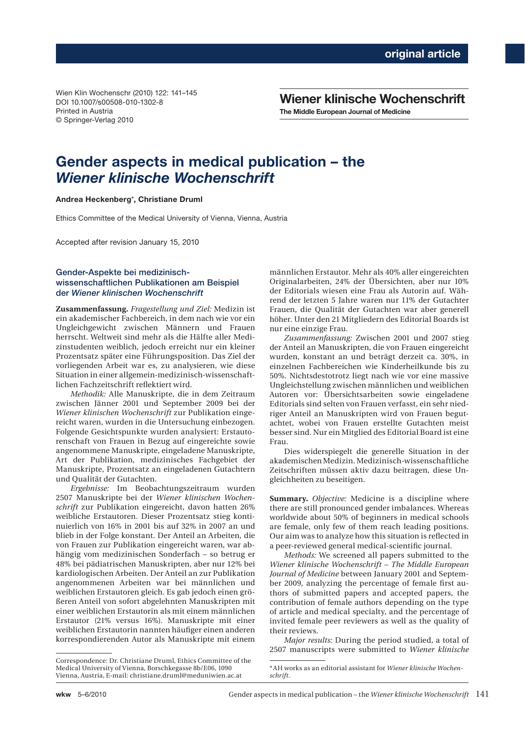Wien Klin Wochenschr (2010) 122: 141–145 DOI 10.1007/s00508-010-1302-8 Printed in Austria © Springer-Verlag 2010

**Wiener klinische Wochenschrift The Middle European Journal of Medicine**

# **Gender aspects in medical publication – the**  *Wiener klinische Wochenschrift*

## **Andrea Heckenberg**\***, Christiane Druml**

Ethics Committee of the Medical University of Vienna, Vienna, Austria

Accepted after revision January 15, 2010

## Gender-Aspekte bei medizinischwissenschaftlichen Publikationen am Beispiel der *Wiener klinischen Wochenschrift*

**Zusammenfassung.** *Fragestellung und Ziel:* Medizin ist ein akademischer Fachbereich, in dem nach wie vor ein Ungleichgewicht zwischen Männern und Frauen herrscht. Weltweit sind mehr als die Hälfte aller Medizinstudenten weiblich, jedoch erreicht nur ein kleiner Prozentsatz später eine Führungsposition. Das Ziel der vorliegenden Arbeit war es, zu analysieren, wie diese Situation in einer allgemein-medizinisch-wissenschaftlichen Fachzeitschrift reflektiert wird.

*Methodik:* Alle Manuskripte, die in dem Zeitraum zwischen Jänner 2001 und September 2009 bei der *Wiener klinischen Wochenschrift* zur Publikation eingereicht waren, wurden in die Untersuchung einbezogen. Folgende Gesichtspunkte wurden analysiert: Erstautorenschaft von Frauen in Bezug auf eingereichte sowie angenommene Manuskripte, eingeladene Manuskripte, Art der Publikation, medizinisches Fachgebiet der Manuskripte, Prozentsatz an eingeladenen Gutachtern und Qualität der Gutachten.

*Ergebnisse:* Im Beobachtungszeitraum wurden 2507 Manuskripte bei der *Wiener klinischen Wochenschrift* zur Publikation eingereicht, davon hatten 26% weibliche Erstautoren. Dieser Prozentsatz stieg kontinuierlich von 16% in 2001 bis auf 32% in 2007 an und blieb in der Folge konstant. Der Anteil an Arbeiten, die von Frauen zur Publikation eingereicht waren, war abhängig vom medizinischen Sonderfach – so betrug er 48% bei pädiatrischen Manuskripten, aber nur 12% bei kardiologischen Arbeiten. Der Anteil an zur Publikation angenommenen Arbeiten war bei männlichen und weiblichen Erstautoren gleich. Es gab jedoch einen größeren Anteil von sofort abgelehnten Manuskripten mit einer weiblichen Erstautorin als mit einem männlichen Erstautor (21% versus 16%). Manuskripte mit einer weiblichen Erstautorin nannten häufiger einen anderen korrespondierenden Autor als Manuskripte mit einem

Correspondence: Dr. Christiane Druml, Ethics Committee of the Medical University of Vienna, Borschkegasse 8b/E06, 1090 Vienna, Austria, E-mail: christiane.druml@meduniwien.ac.at

männlichen Erstautor. Mehr als 40% aller eingereichten Originalarbeiten, 24% der Übersichten, aber nur 10% der Editorials wiesen eine Frau als Autorin auf. Während der letzten 5 Jahre waren nur 11% der Gutachter Frauen, die Qualität der Gutachten war aber generell höher. Unter den 21 Mitgliedern des Editorial Boards ist nur eine einzige Frau.

*Zusammenfassung:* Zwischen 2001 und 2007 stieg der Anteil an Manuskripten, die von Frauen eingereicht wurden, konstant an und beträgt derzeit ca. 30%, in einzelnen Fachbereichen wie Kinderheilkunde bis zu 50%. Nichtsdestotrotz liegt nach wie vor eine massive Ungleichstellung zwischen männlichen und weiblichen Autoren vor: Übersichtsarbeiten sowie eingeladene Editorials sind selten von Frauen verfasst, ein sehr niedriger Anteil an Manuskripten wird von Frauen begutachtet, wobei von Frauen erstellte Gutachten meist besser sind. Nur ein Mitglied des Editorial Board ist eine Frau.

Dies widerspiegelt die generelle Situation in der akademischen Medizin. Medizinisch-wissenschaftliche Zeitschriften müssen aktiv dazu beitragen, diese Ungleichheiten zu beseitigen.

**Summary.** *Objective:* Medicine is a discipline where there are still pronounced gender imbalances. Whereas worldwide about 50% of beginners in medical schools are female, only few of them reach leading positions. Our aim was to analyze how this situation is reflected in a peer-reviewed general medical-scientific journal.

*Methods:* We screened all papers submitted to the *Wiener klinische Wochenschrift – The Middle European Journal of Medicine* between January 2001 and September 2009, analyzing the percentage of female first authors of submitted papers and accepted papers, the contribution of female authors depending on the type of article and medical specialty, and the percentage of invited female peer reviewers as well as the quality of their reviews.

*Major results:* During the period studied, a total of 2507 manuscripts were submitted to *Wiener klinische* 

<sup>\*</sup>AH works as an editorial assistant for *Wiener klinische Wochenschrift*.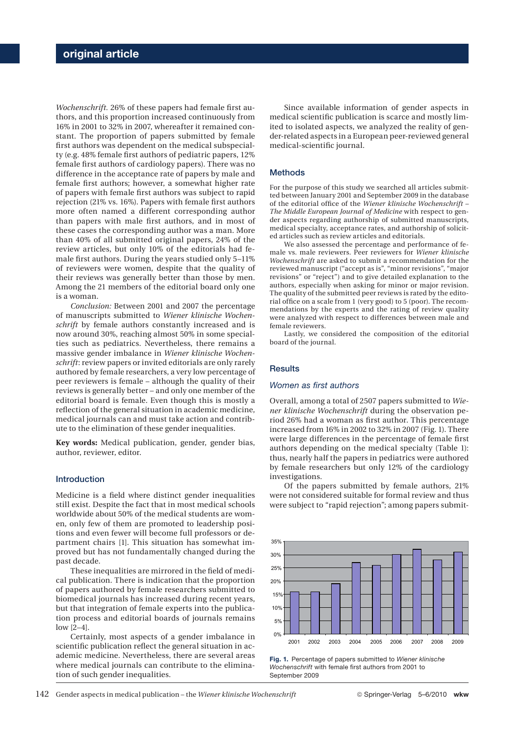*Wochenschrift.* 26% of these papers had female first authors, and this proportion increased continuously from 16% in 2001 to 32% in 2007, whereafter it remained constant. The proportion of papers submitted by female first authors was dependent on the medical subspecialty (e.g. 48% female first authors of pediatric papers, 12% female first authors of cardiology papers). There was no difference in the acceptance rate of papers by male and female first authors; however, a somewhat higher rate of papers with female first authors was subject to rapid rejection (21% vs. 16%). Papers with female first authors more often named a different corresponding author than papers with male first authors, and in most of these cases the corresponding author was a man. More than 40% of all submitted original papers, 24% of the review articles, but only 10% of the editorials had female first authors. During the years studied only 5–11% of reviewers were women, despite that the quality of their reviews was generally better than those by men. Among the 21 members of the editorial board only one is a woman.

*Conclusion:* Between 2001 and 2007 the percentage of manuscripts submitted to *Wiener klinische Wochenschrift* by female authors constantly increased and is now around 30%, reaching almost 50% in some specialties such as pediatrics. Nevertheless, there remains a massive gender imbalance in *Wiener klinische Wochenschrift*: review papers or invited editorials are only rarely authored by female researchers, a very low percentage of peer reviewers is female – although the quality of their reviews is generally better – and only one member of the editorial board is female. Even though this is mostly a reflection of the general situation in academic medicine, medical journals can and must take action and contribute to the elimination of these gender inequalities.

**Key words:** Medical publication, gender, gender bias, author, reviewer, editor.

#### Introduction

Medicine is a field where distinct gender inequalities still exist. Despite the fact that in most medical schools worldwide about 50% of the medical students are women, only few of them are promoted to leadership positions and even fewer will become full professors or department chairs [1]. This situation has somewhat improved but has not fundamentally changed during the past decade.

These inequalities are mirrored in the field of medical publication. There is indication that the proportion of papers authored by female researchers submitted to biomedical journals has increased during recent years, but that integration of female experts into the publication process and editorial boards of journals remains low [2–4].

Certainly, most aspects of a gender imbalance in scientific publication reflect the general situation in academic medicine. Nevertheless, there are several areas where medical journals can contribute to the elimination of such gender inequalities.

Since available information of gender aspects in medical scientific publication is scarce and mostly limited to isolated aspects, we analyzed the reality of gender-related aspects in a European peer-reviewed general medical-scientific journal.

## **Methods**

For the purpose of this study we searched all articles submitted between January 2001 and September 2009 in the database of the editorial office of the *Wiener klinische Wochenschrift – The Middle European Journal of Medicine* with respect to gender aspects regarding authorship of submitted manuscripts, medical specialty, acceptance rates, and authorship of solicited articles such as review articles and editorials.

We also assessed the percentage and performance of female vs. male reviewers. Peer reviewers for *Wiener klinische Wochenschrift* are asked to submit a recommendation for the reviewed manuscript ("accept as is", "minor revisions", "major revisions" or "reject") and to give detailed explanation to the authors, especially when asking for minor or major revision. The quality of the submitted peer reviews is rated by the editorial office on a scale from 1 (very good) to 5 (poor). The recommendations by the experts and the rating of review quality were analyzed with respect to differences between male and female reviewers.

Lastly, we considered the composition of the editorial board of the journal.

#### **Results**

#### *Women as first authors*

Overall, among a total of 2507 papers submitted to *Wiener klinische Wochenschrift* during the observation period 26% had a woman as first author. This percentage increased from 16% in 2002 to 32% in 2007 (Fig. 1). There were large differences in the percentage of female first authors depending on the medical specialty (Table 1): thus, nearly half the papers in pediatrics were authored by female researchers but only 12% of the cardiology investigations.

Of the papers submitted by female authors, 21% were not considered suitable for formal review and thus were subject to "rapid rejection"; among papers submit-



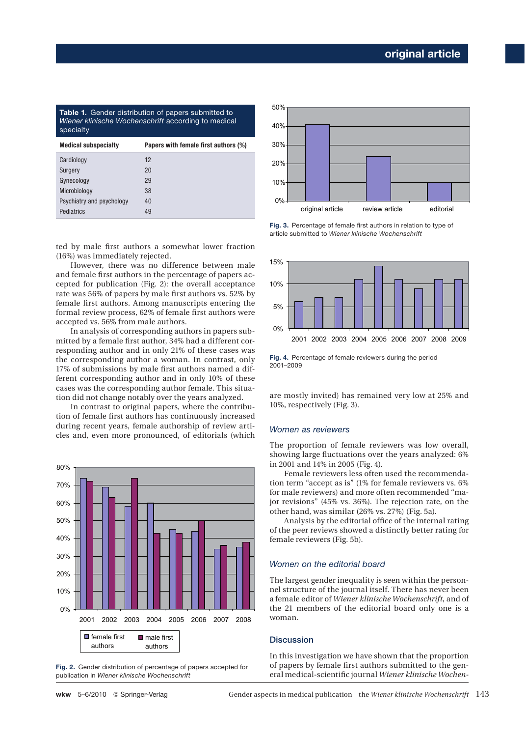| <b>Medical subspecialty</b>                                                                                                    | Papers with female first authors (%) |
|--------------------------------------------------------------------------------------------------------------------------------|--------------------------------------|
| <b>Table 1.</b> Gender distribution of papers submitted to<br>Wiener klinische Wochenschrift according to medical<br>specialty |                                      |

| Cardiology                | 12 |
|---------------------------|----|
| Surgery                   | 20 |
| Gynecology                | 29 |
| Microbiology              | 38 |
| Psychiatry and psychology | 40 |
| Pediatrics                | 49 |

ted by male first authors a somewhat lower fraction (16%) was immediately rejected.

However, there was no difference between male and female first authors in the percentage of papers accepted for publication (Fig. 2): the overall acceptance rate was 56% of papers by male first authors vs. 52% by female first authors. Among manuscripts entering the formal review process, 62% of female first authors were accepted vs. 56% from male authors.

In analysis of corresponding authors in papers submitted by a female first author, 34% had a different corresponding author and in only 21% of these cases was the corresponding author a woman. In contrast, only 17% of submissions by male first authors named a different corresponding author and in only 10% of these cases was the corresponding author female. This situation did not change notably over the years analyzed.

In contrast to original papers, where the contribution of female first authors has continuously increased during recent years, female authorship of review articles and, even more pronounced, of editorials (which



**Fig. 2.** Gender distribution of percentage of papers accepted for publication in *Wiener klinische Wochenschrift*



**Fig. 3.** Percentage of female first authors in relation to type of article submitted to *Wiener klinische Wochenschrift*



**Fig. 4.** Percentage of female reviewers during the period 2001–2009

are mostly invited) has remained very low at 25% and 10%, respectively (Fig. 3).

## *Women as reviewers*

The proportion of female reviewers was low overall, showing large fluctuations over the years analyzed: 6% in 2001 and 14% in 2005 (Fig. 4).

Female reviewers less often used the recommendation term "accept as is" (1% for female reviewers vs. 6% for male reviewers) and more often recommended "major revisions" (45% vs. 36%). The rejection rate, on the other hand, was similar (26% vs. 27%) (Fig. 5a).

Analysis by the editorial office of the internal rating of the peer reviews showed a distinctly better rating for female reviewers (Fig. 5b).

## *Women on the editorial board*

The largest gender inequality is seen within the personnel structure of the journal itself. There has never been a female editor of *Wiener klinische Wochenschrift*, and of the 21 members of the editorial board only one is a woman.

### **Discussion**

In this investigation we have shown that the proportion of papers by female first authors submitted to the general medical-scientific journal *Wiener klinische Wochen-*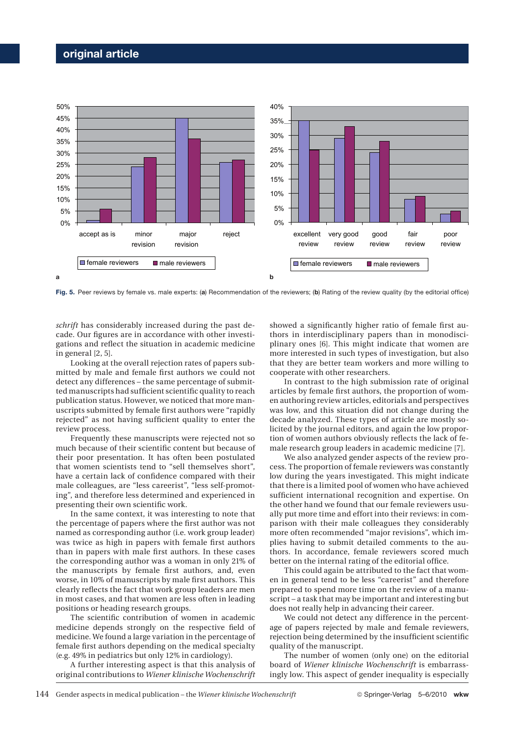## **original article**



Fig. 5. Peer reviews by female vs. male experts: (a) Recommendation of the reviewers; (b) Rating of the review quality (by the editorial office)

*schrift* has considerably increased during the past decade. Our figures are in accordance with other investigations and reflect the situation in academic medicine in general [2, 5].

Looking at the overall rejection rates of papers submitted by male and female first authors we could not detect any differences – the same percentage of submitted manuscripts had sufficient scientific quality to reach publication status. However, we noticed that more manuscripts submitted by female first authors were "rapidly rejected" as not having sufficient quality to enter the review process.

Frequently these manuscripts were rejected not so much because of their scientific content but because of their poor presentation. It has often been postulated that women scientists tend to "sell themselves short", have a certain lack of confidence compared with their male colleagues, are "less careerist", "less self-promoting", and therefore less determined and experienced in presenting their own scientific work.

In the same context, it was interesting to note that the percentage of papers where the first author was not named as corresponding author (i.e. work group leader) was twice as high in papers with female first authors than in papers with male first authors. In these cases the corresponding author was a woman in only 21% of the manuscripts by female first authors, and, even worse, in 10% of manuscripts by male first authors. This clearly reflects the fact that work group leaders are men in most cases, and that women are less often in leading positions or heading research groups.

The scientific contribution of women in academic medicine depends strongly on the respective field of medicine. We found a large variation in the percentage of female first authors depending on the medical specialty (e.g. 49% in pediatrics but only 12% in cardiology).

A further interesting aspect is that this analysis of original contributions to *Wiener klinische Wochenschrift*

showed a significantly higher ratio of female first authors in interdisciplinary papers than in monodisciplinary ones [6]. This might indicate that women are more interested in such types of investigation, but also that they are better team workers and more willing to cooperate with other researchers.

In contrast to the high submission rate of original articles by female first authors, the proportion of women authoring review articles, editorials and perspectives was low, and this situation did not change during the decade analyzed. These types of article are mostly solicited by the journal editors, and again the low proportion of women authors obviously reflects the lack of female research group leaders in academic medicine [7].

We also analyzed gender aspects of the review process. The proportion of female reviewers was constantly low during the years investigated. This might indicate that there is a limited pool of women who have achieved sufficient international recognition and expertise. On the other hand we found that our female reviewers usually put more time and effort into their reviews: in comparison with their male colleagues they considerably more often recommended "major revisions", which implies having to submit detailed comments to the authors. In accordance, female reviewers scored much better on the internal rating of the editorial office.

This could again be attributed to the fact that women in general tend to be less "careerist" and therefore prepared to spend more time on the review of a manuscript – a task that may be important and interesting but does not really help in advancing their career.

We could not detect any difference in the percentage of papers rejected by male and female reviewers, rejection being determined by the insufficient scientific quality of the manuscript.

The number of women (only one) on the editorial board of *Wiener klinische Wochenschrift* is embarrassingly low. This aspect of gender inequality is especially